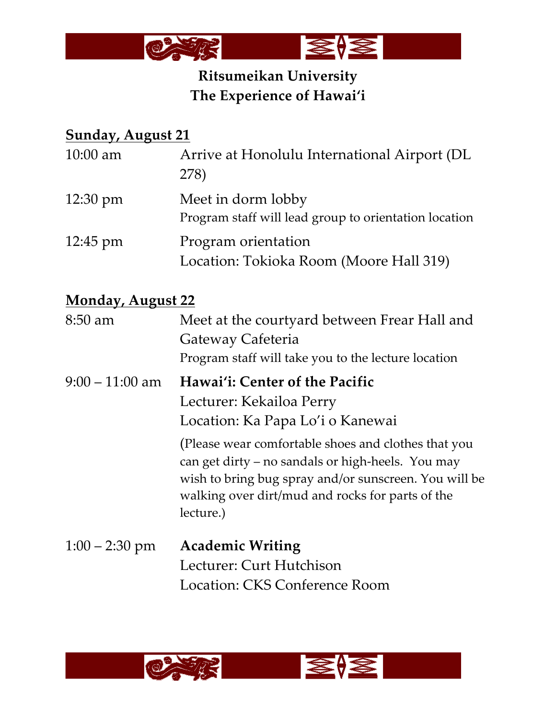

# **Ritsumeikan University The Experience of Hawai'i**

# **Sunday, August 21**

| $10:00$ am               | Arrive at Honolulu International Airport (DL<br>278)                                                                                                                                                                                                                |
|--------------------------|---------------------------------------------------------------------------------------------------------------------------------------------------------------------------------------------------------------------------------------------------------------------|
| $12:30 \text{ pm}$       | Meet in dorm lobby<br>Program staff will lead group to orientation location                                                                                                                                                                                         |
| $12:45 \text{ pm}$       | Program orientation<br>Location: Tokioka Room (Moore Hall 319)                                                                                                                                                                                                      |
| <b>Monday, August 22</b> |                                                                                                                                                                                                                                                                     |
| 8:50 am                  | Meet at the courtyard between Frear Hall and<br>Gateway Cafeteria<br>Program staff will take you to the lecture location                                                                                                                                            |
| $9:00 - 11:00$ am        | Hawai'i: Center of the Pacific<br>Lecturer: Kekailoa Perry<br>Location: Ka Papa Lo'i o Kanewai<br>(Please wear comfortable shoes and clothes that you<br>can get dirty - no sandals or high-heels. You may<br>wish to bring bug spray and/or sunscreen. You will be |
|                          | walking over dirt/mud and rocks for parts of the<br>lecture.)                                                                                                                                                                                                       |
| $1:00 - 2:30$ pm         | <b>Academic Writing</b>                                                                                                                                                                                                                                             |
|                          | Lecturer: Curt Hutchison                                                                                                                                                                                                                                            |
|                          | Location: CKS Conference Room                                                                                                                                                                                                                                       |

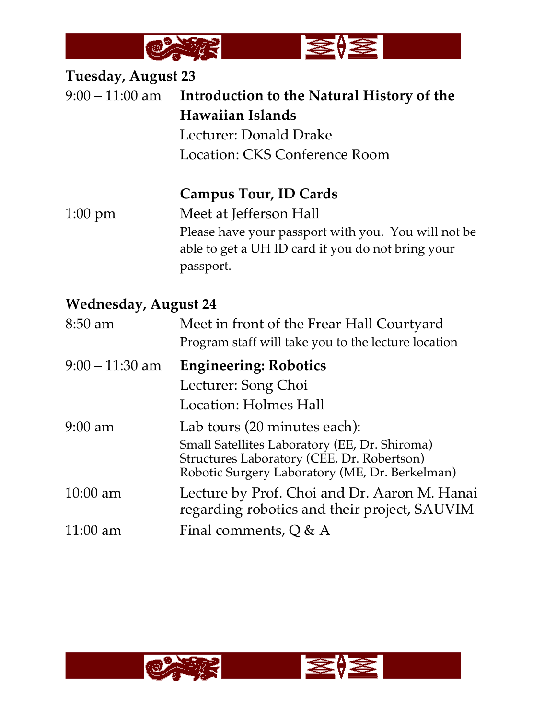

#### **Tuesday, August 23**

9:00 – 11:00 am **Introduction to the Natural History of the Hawaiian Islands** Lecturer: Donald Drake Location: CKS Conference Room

**Campus Tour, ID Cards**

1:00 pm Meet at Jefferson Hall Please have your passport with you. You will not be able to get a UH ID card if you do not bring your passport.

#### **Wednesday, August 24**

| 8:50 am            | Meet in front of the Frear Hall Courtyard<br>Program staff will take you to the lecture location                                              |
|--------------------|-----------------------------------------------------------------------------------------------------------------------------------------------|
| $9:00 - 11:30$ am  | <b>Engineering: Robotics</b>                                                                                                                  |
|                    | Lecturer: Song Choi                                                                                                                           |
|                    | Location: Holmes Hall                                                                                                                         |
| $9:00$ am          | Lab tours (20 minutes each):                                                                                                                  |
|                    | Small Satellites Laboratory (EE, Dr. Shiroma)<br>Structures Laboratory (CEE, Dr. Robertson)<br>Robotic Surgery Laboratory (ME, Dr. Berkelman) |
| $10:00$ am         | Lecture by Prof. Choi and Dr. Aaron M. Hanai<br>regarding robotics and their project, SAUVIM                                                  |
| $11:00 \text{ am}$ | Final comments, $Q \& A$                                                                                                                      |
|                    |                                                                                                                                               |

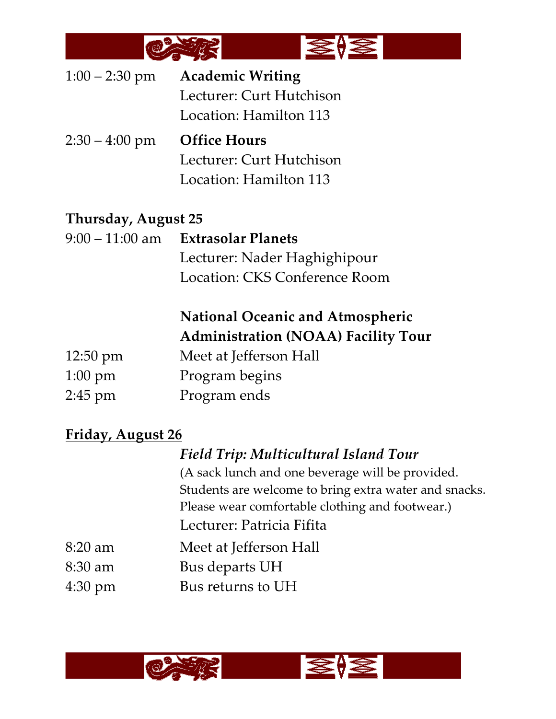

| $1:00 - 2:30$ pm | <b>Academic Writing</b>  |
|------------------|--------------------------|
|                  | Lecturer: Curt Hutchison |
|                  | Location: Hamilton 113   |
|                  |                          |

2:30 – 4:00 pm **Office Hours** Lecturer: Curt Hutchison Location: Hamilton 113

#### **Thursday, August 25**

9:00 – 11:00 am **Extrasolar Planets** Lecturer: Nader Haghighipour Location: CKS Conference Room

# **National Oceanic and Atmospheric Administration (NOAA) Facility Tour**

| $12:50 \text{ pm}$ | Meet at Jefferson Hall |
|--------------------|------------------------|
| $1:00 \text{ pm}$  | Program begins         |
| $2:45 \text{ pm}$  | Program ends           |

## **Friday, August 26**

## *Field Trip: Multicultural Island Tour*

(A sack lunch and one beverage will be provided. Students are welcome to bring extra water and snacks. Please wear comfortable clothing and footwear.) Lecturer: Patricia Fifita

- 8:20 am Meet at Jefferson Hall
- 8:30 am Bus departs UH
- 4:30 pm Bus returns to UH



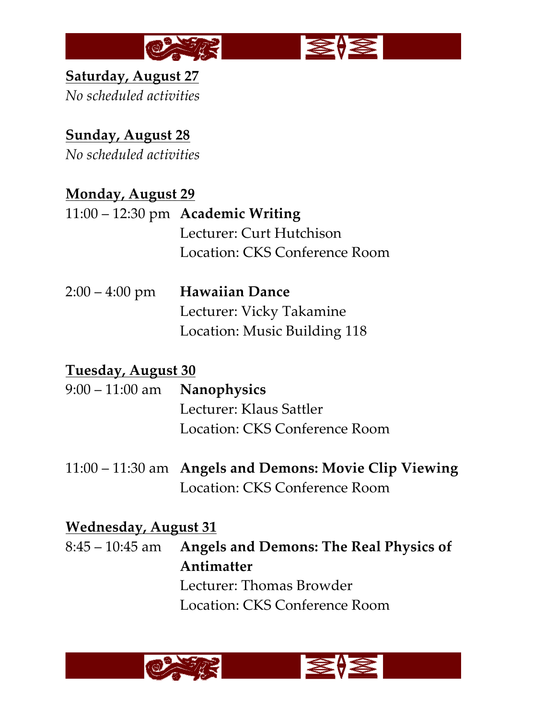

**Saturday, August 27** *No scheduled activities*

# **Sunday, August 28**

*No scheduled activities*

# **Monday, August 29**

- 11:00 12:30 pm **Academic Writing** Lecturer: Curt Hutchison Location: CKS Conference Room
- 2:00 4:00 pm **Hawaiian Dance** Lecturer: Vicky Takamine Location: Music Building 118

## **Tuesday, August 30**

- 9:00 11:00 am **Nanophysics** Lecturer: Klaus Sattler Location: CKS Conference Room
- 11:00 11:30 am **Angels and Demons: Movie Clip Viewing** Location: CKS Conference Room

## **Wednesday, August 31**

8:45 – 10:45 am **Angels and Demons: The Real Physics of Antimatter** Lecturer: Thomas Browder Location: CKS Conference Room

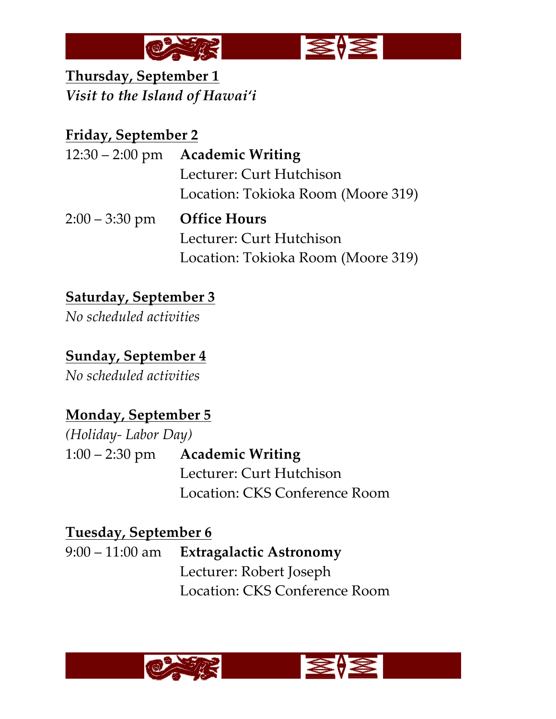

**Thursday, September 1** *Visit to the Island of Hawai'i*

# **Friday, September 2**

|                  | $12:30 - 2:00$ pm Academic Writing |
|------------------|------------------------------------|
|                  | Lecturer: Curt Hutchison           |
|                  | Location: Tokioka Room (Moore 319) |
| $2:00 - 3:30$ pm |                                    |
|                  | <b>Office Hours</b>                |
|                  | Lecturer: Curt Hutchison           |

# **Saturday, September 3**

*No scheduled activities*

# **Sunday, September 4**

*No scheduled activities*

# **Monday, September 5**

*(Holiday- Labor Day)* 1:00 – 2:30 pm **Academic Writing** Lecturer: Curt Hutchison Location: CKS Conference Room

## **Tuesday, September 6**

9:00 – 11:00 am **Extragalactic Astronomy** Lecturer: Robert Joseph Location: CKS Conference Room

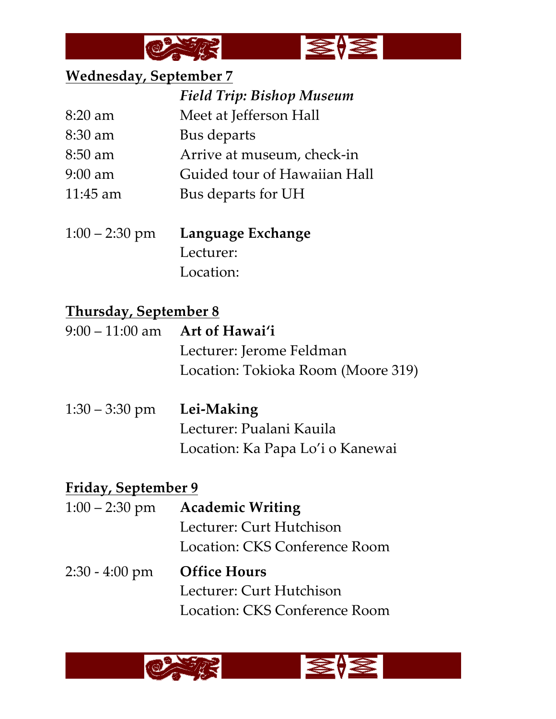



#### **Wednesday, September 7**

|            | <b>Field Trip: Bishop Museum</b> |
|------------|----------------------------------|
| $8:20$ am  | Meet at Jefferson Hall           |
| 8:30 am    | Bus departs                      |
| $8:50$ am  | Arrive at museum, check-in       |
| $9:00$ am  | Guided tour of Hawaiian Hall     |
| $11:45$ am | Bus departs for UH               |
|            |                                  |

1:00 – 2:30 pm **Language Exchange** Lecturer: Location:

#### **Thursday, September 8**

- 9:00 11:00 am **Art of Hawai'i** Lecturer: Jerome Feldman Location: Tokioka Room (Moore 319)
- 1:30 3:30 pm **Lei-Making** Lecturer: Pualani Kauila Location: Ka Papa Lo'i o Kanewai

## **Friday, September 9**

1:00 – 2:30 pm **Academic Writing** Lecturer: Curt Hutchison Location: CKS Conference Room 2:30 - 4:00 pm **Office Hours**  Lecturer: Curt Hutchison Location: CKS Conference Room

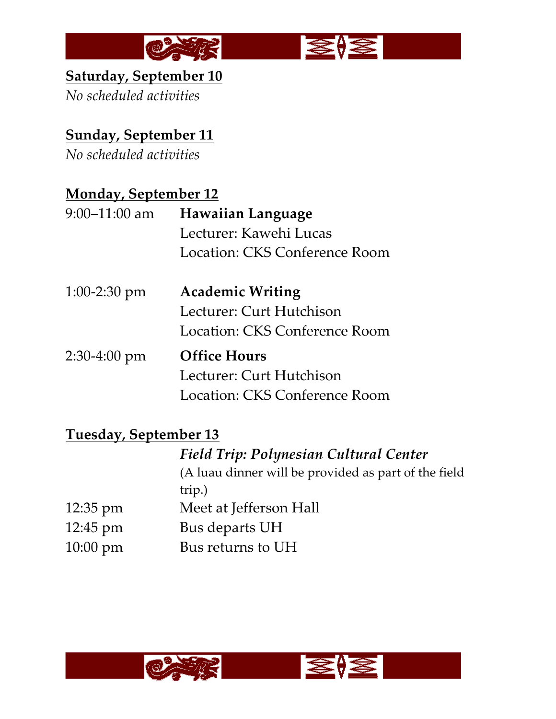



# **Saturday, September 10**

*No scheduled activities*

# **Sunday, September 11**

*No scheduled activities*

# **Monday, September 12**

| $9:00-11:00$ am | <b>Hawaiian Language</b>      |
|-----------------|-------------------------------|
|                 | Lecturer: Kawehi Lucas        |
|                 | Location: CKS Conference Room |
| $1:00-2:30$ pm  | <b>Academic Writing</b>       |
|                 | Lecturer: Curt Hutchison      |
|                 | Location: CKS Conference Room |
| $2:30-4:00$ pm  | <b>Office Hours</b>           |
|                 | Lecturer: Curt Hutchison      |
|                 | Location: CKS Conference Room |

## **Tuesday, September 13**

*Field Trip: Polynesian Cultural Center* (A luau dinner will be provided as part of the field trip.) 12:35 pm Meet at Jefferson Hall 12:45 pm Bus departs UH 10:00 pm Bus returns to UH